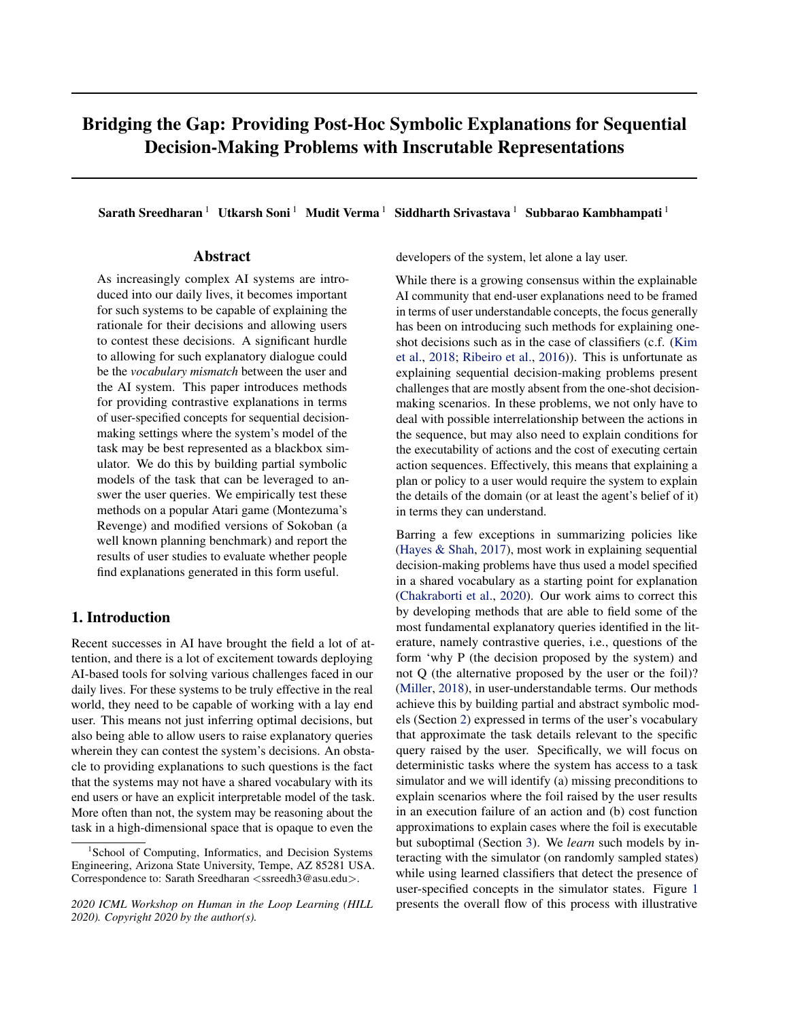# Bridging the Gap: Providing Post-Hoc Symbolic Explanations for Sequential Decision-Making Problems with Inscrutable Representations

Sarath Sreedharan<sup>1</sup> Utkarsh Soni<sup>1</sup> Mudit Verma<sup>1</sup> Siddharth Srivastava<sup>1</sup> Subbarao Kambhampati<sup>1</sup>

# Abstract

As increasingly complex AI systems are introduced into our daily lives, it becomes important for such systems to be capable of explaining the rationale for their decisions and allowing users to contest these decisions. A significant hurdle to allowing for such explanatory dialogue could be the *vocabulary mismatch* between the user and the AI system. This paper introduces methods for providing contrastive explanations in terms of user-specified concepts for sequential decisionmaking settings where the system's model of the task may be best represented as a blackbox simulator. We do this by building partial symbolic models of the task that can be leveraged to answer the user queries. We empirically test these methods on a popular Atari game (Montezuma's Revenge) and modified versions of Sokoban (a well known planning benchmark) and report the results of user studies to evaluate whether people find explanations generated in this form useful.

# 1. Introduction

Recent successes in AI have brought the field a lot of attention, and there is a lot of excitement towards deploying AI-based tools for solving various challenges faced in our daily lives. For these systems to be truly effective in the real world, they need to be capable of working with a lay end user. This means not just inferring optimal decisions, but also being able to allow users to raise explanatory queries wherein they can contest the system's decisions. An obstacle to providing explanations to such questions is the fact that the systems may not have a shared vocabulary with its end users or have an explicit interpretable model of the task. More often than not, the system may be reasoning about the task in a high-dimensional space that is opaque to even the

developers of the system, let alone a lay user.

While there is a growing consensus within the explainable AI community that end-user explanations need to be framed in terms of user understandable concepts, the focus generally has been on introducing such methods for explaining oneshot decisions such as in the case of classifiers (c.f. [\(Kim](#page-8-0) [et al.,](#page-8-0) [2018;](#page-8-0) [Ribeiro et al.,](#page-8-0) [2016\)](#page-8-0)). This is unfortunate as explaining sequential decision-making problems present challenges that are mostly absent from the one-shot decisionmaking scenarios. In these problems, we not only have to deal with possible interrelationship between the actions in the sequence, but may also need to explain conditions for the executability of actions and the cost of executing certain action sequences. Effectively, this means that explaining a plan or policy to a user would require the system to explain the details of the domain (or at least the agent's belief of it) in terms they can understand.

Barring a few exceptions in summarizing policies like [\(Hayes & Shah,](#page-8-0) [2017\)](#page-8-0), most work in explaining sequential decision-making problems have thus used a model specified in a shared vocabulary as a starting point for explanation [\(Chakraborti et al.,](#page-7-0) [2020\)](#page-7-0). Our work aims to correct this by developing methods that are able to field some of the most fundamental explanatory queries identified in the literature, namely contrastive queries, i.e., questions of the form 'why P (the decision proposed by the system) and not Q (the alternative proposed by the user or the foil)? [\(Miller,](#page-8-0) [2018\)](#page-8-0), in user-understandable terms. Our methods achieve this by building partial and abstract symbolic models (Section [2\)](#page-1-0) expressed in terms of the user's vocabulary that approximate the task details relevant to the specific query raised by the user. Specifically, we will focus on deterministic tasks where the system has access to a task simulator and we will identify (a) missing preconditions to explain scenarios where the foil raised by the user results in an execution failure of an action and (b) cost function approximations to explain cases where the foil is executable but suboptimal (Section [3\)](#page-2-0). We *learn* such models by interacting with the simulator (on randomly sampled states) while using learned classifiers that detect the presence of user-specified concepts in the simulator states. Figure [1](#page-1-0) presents the overall flow of this process with illustrative

<sup>&</sup>lt;sup>1</sup>School of Computing, Informatics, and Decision Systems Engineering, Arizona State University, Tempe, AZ 85281 USA. Correspondence to: Sarath Sreedharan <ssreedh3@asu.edu>.

*<sup>2020</sup> ICML Workshop on Human in the Loop Learning (HILL 2020). Copyright 2020 by the author(s).*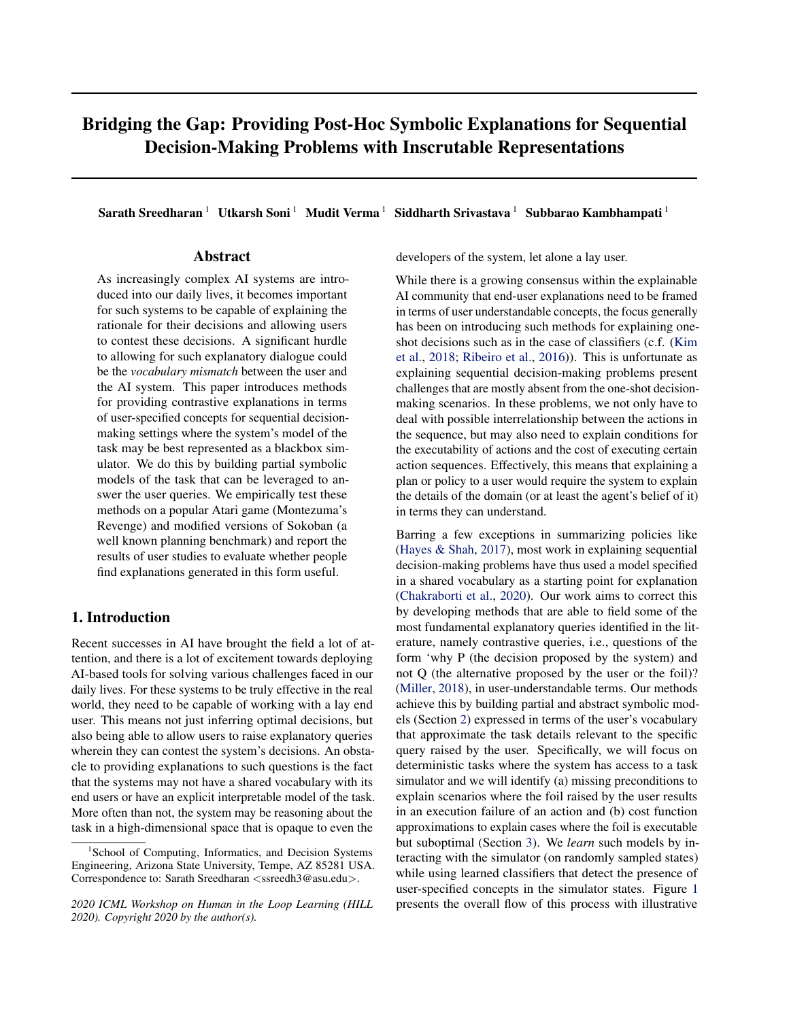<span id="page-1-0"></span>

Figure 1. The explanatory dialogue starts when the user presents the system with a specific alternate plan (foil). Here we consider two foils, one that is invalid and another that is costlier than the plan. The system explains the invalid plan by pointing out an action precondition that was not met in the plan, while it explains the foil suboptimality by informing the user about cost function. Each of these model information is expressed in terms of concepts specified by the user which we operationalize by learning a classifier for each concept.

explanations in the context of a slightly updated version of Montezuma's Revenge [\(Wikipedia contributors,](#page-8-0) [2019\)](#page-8-0). Our methods also allow for the calculation of confidence over the explanations and explicitly take into account the fact that learned classifiers for user-specified concepts may be noisy. This ability to quantify its belief about the correctness of explanation is an important capability for any post-hoc explanation system that may influence the user's decisions. We evaluate the system on two popular sequential decision making domains, Montezuma's Revenge and a modified version of Sokoban [\(Botea et al.,](#page-7-0) [2002\)](#page-7-0) (a game involving players pushing boxes to specified targets). We present user study results that show the effectiveness of explanations studied in this paper (Section [5\)](#page-5-0).

### 2. Background

In this work, we focus on cases where a human observer is trying to make sense of plans proposed by an autonomous system. When the plan differs from the users' expectations, they try to make sense of this disparity by asking why some alternate expected plan was not proposed. The goal then becomes addressing such counterfactual queries in terms of the dynamics of the domain in question, expressed using user-specified concepts. We assume that the decision-making algorithm computes the optimal solution, and thus our focus isn't on how the algorithm came up with the specific decisions, but only on why this action sequence was chosen instead of an alternative that the user expected. We assume access to a deterministic simulator

of the form  $\mathcal{M}_{sim} = \langle S, A, T, C \rangle$ , where S represents the set of possible world states,  $A$  the set of actions and  $T$  the transition function that specifies the problem dynamics. The transition function is defined as  $T : S \times A \rightarrow S \cup \{\perp\},\$ where ⊥ corresponds to an invalid absorber-state generated by the execution of an infeasible action. Invalid state could be used to capture failure states that could occur when the agent violates hard constraints like safety constraints. Finally,  $C : S \times A \rightarrow \mathbb{R}$  captures the cost function of executing an action at a particular state (with cost of an infeasible action taken to be infinite). We will overload the transition function  $T$  to also work on action sequence, i.e.,  $T(s, \langle a_1, ..., a_k \rangle) = T(...T(T(s, a_1), a_2), ..., a_k)$ . We will look at goal-directed problems in the sense that the decision-making system needs to come up with the plan, i.e., a sequence of actions,  $\pi = \langle a_1, ..., a_k \rangle$ , that will drive the state of the world to a goal state. In general we will use the tuple  $\Pi_{sim} = \langle I, G, M_{sim} \rangle$  to represent the decision making problem, where  $I$  is the initial state and  $G$  the set of goal states. Moreover a plan is optimal if it achieves the goal and there exists no cheaper plan that can achieve the goal (where  $\mathcal{C}(I,\pi)$  is the total cost of executing  $\pi$ ).

We will use symbolic action models with preconditions and cost functions (similar to STRIPS models [\(Geffner &](#page-8-0) [Bonet,](#page-8-0) [2013\)](#page-8-0)) as a way to approximate the problem for explanations. Such a model can be represented by the tuple  $\Pi_S = \langle F_S, A_S, I_S, G_S, C_S \rangle$ , where  $F_S$  is a set of propositional fluents defining the state space,  $A<sub>S</sub>$  is the set of actions,  $I_S$  is the initial state,  $G_S$  is the goal specification. Each valid problem state in the problem is uniquely identified by the subset of fluents that are true in that state (so for any state  $s, s \subseteq F_S$ ). We will use the notation  $S_{\mathcal{M}_S}$  to denote the space of all possible states for the model  $M_S$ . Each action  $a \in A_{\mathcal{S}}$  is further described in terms of the preconditions  $prec_a$  (specification of states in which  $a$  is executable) and the effects of executing the action. We will denote the state formed by executing action  $a$  in state  $s$  as  $a(s)$ . We will focus on models where the preconditions are represented as a conjunction of state factors. If the action is executed in a state with missing preconditions, then the execution results in the invalid state  $(\perp)$ . Unlike standard STRIPS models, where the cost of executing action is independent of states, we will be using a state dependent cost function of the form  $C_S: 2^F \times A_S \rightarrow \mathbb{R}$  to capture the cost of valid action executions. Internally, such state models may be represented using conditional cost models of the type discussed in [\(Geißer et al.,](#page-8-0) [2016\)](#page-8-0). In this paper, we won't try to reconstruct the exact cost function but will rather try to estimate an abstract version of the cost function.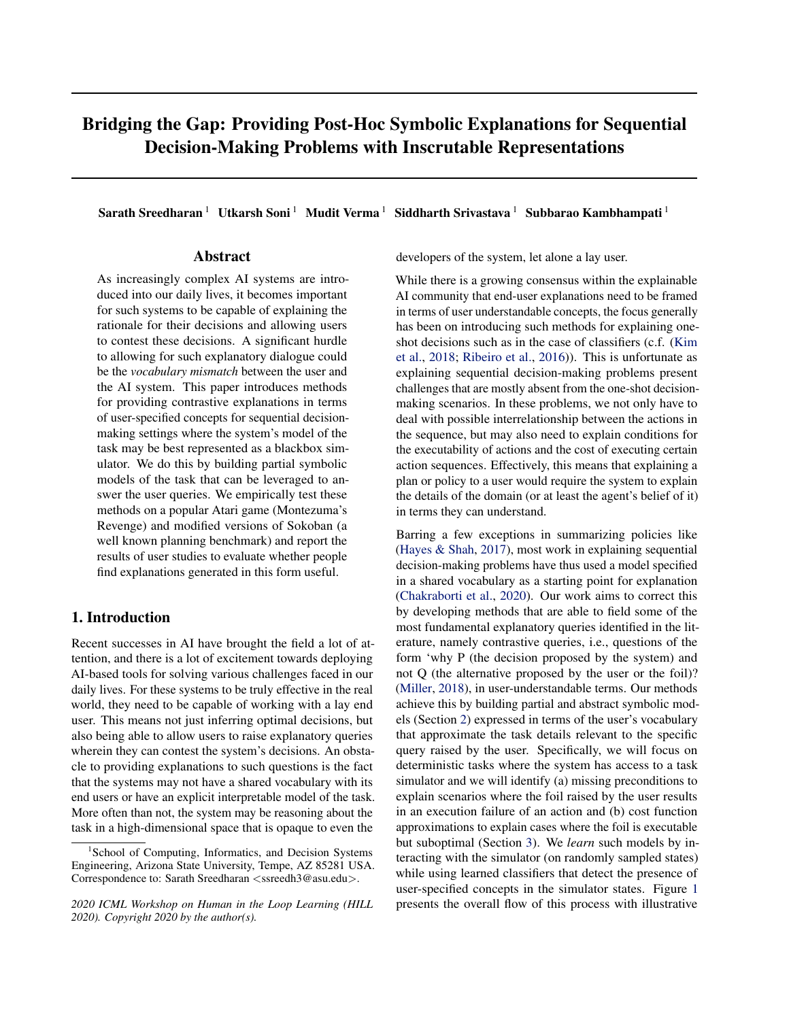# <span id="page-2-0"></span>3. Contrastive Explanations

The specific explanatory setting, illustrated in Figure [1,](#page-1-0) that we are interested in studying involves a decision-making problem specified by the tuple  $\Pi_{sim} = \langle I, G, M_{sim} \rangle$  for which the system identifies a plan  $\pi$ . When presented with the plan, the user of the system may either accept it or responds by raising an alternative plan  $\pi_f$  (*the foil*) that they believe should be followed instead. Now the system would need to provide an explanation as to why the plan  $\pi$ may be preferred over the foil  $\pi_f$  in question. The only two possibilities here are that either the foil is inexecutable and hence can not be followed or it is costlier than the plan in question. $<sup>1</sup>$  More formally,</sup>

Definition 1 *The plan* π *is said to be preferred over a foil*  $\pi_f$  *for a problem*  $\Pi_{sim} = \langle I, G, M_{sim} \rangle$ *, if either of the following conditions are met, i.e.,*

- *1.*  $\pi_f$  is inexecutable, which means, either (a)  $T(I, \pi_f) \notin$ G*, i.e the action sequence doesn't lead to a possible goal state, or (b) the execution of the plan leads to an invalid state, i.e.,*  $T(I, \pi_f) = \perp$ *.*
- *2. Or*  $\pi_f$  *is* costlier *than*  $\pi$ *, i.e.,*  $\mathcal{C}(I, \pi) < \mathcal{C}(I, \pi_f)$

To concretize this interaction, consider an instance from a modified version of Montezuma's revenge (Figure [1\)](#page-1-0). Let's assume the agent starts from the highest platform, and the goal is to get to the key. The specified plan  $\pi$  may require the agent to make its way to the lowest level, jump over the skull, and then go to the key with a total cost of 20. Let us consider a case where the user raises two possible foils that are quite similar to  $\pi$ , but, (a) in the first foil, instead of jumping the agent just moves left (as in it tries to move through the skull) and (b) in the second, instead of jumping over the skull, the agent performs the attack action (not part of the original game, but added here for illustrative purposes) and then moves on to the key. Now using the simulator, the system could tell that in the first case, moving left would lead to an invalid state and in the second case, the foil is more expensive. It may however struggle to explain to the user what particular aspects of the state or state sequence lead to the invalidity or suboptimality. Even efforts to localize parts of its own internal state representation for possible reasons by comparing the foil with similar states where actions are executable or cheaper may be futile, as even what constitutes similar states as per the simulator may be conceptually quite confusing for the user. This scenario thus necessitates the use of methods that are able to express possible explanations in terms that the user may understand.

#### Representational Assumptions A quick note on some of

the representational assumptions we are making. The central one we are making is of course that it is possible to approximate the applicability of actions and cost function in terms of high-level concepts. Apart from the intuitive appeal of such models (many of these models have their origin in models from folk psychology), these representation schemes have been widely used to model real-world sequential decision-making problems from a variety of domains and have a clear real-world utility [\(Benton et al.,](#page-7-0) [2019\)](#page-7-0). We agree that there may be problems where it may not be directly applicable, but we believe this is a sound initial step and applicable to many domains where currently Reinforcement Learning (RL) based decision-making systems are being successfully used, including robotics and games.

Apart from this basic assumption, we make one additional representational assumption, namely, that the precondition can be expressed as a conjunction of positive concepts. Note that the assumption doesn't restricts the applicability of the methods discussed here. Our framework can still cover cases where the action may require non-conjunctive preconditions. To see why, consider a case where the precondition of action a is expressed as an arbitrary propositional formula,  $\phi(\mathcal{C})$ . In this case, we can express it in its conjunctive normal form  $\phi^{\theta}(\mathcal{C})$ . Now each clause in  $\phi^{\theta}(\mathcal{C})$  can be treated as a new compound positive concept. Thus we can cover such arbitrary propositional formulas by expanding our concept list with compound concepts (including negations and disjuncts) whose value is determined from the classifiers for the corresponding atomic concepts.

Concept maps: To describe explanations in this setting, the system needs to have access to a mapping from it's internal state representation to a set of high-level concepts that are known to the user (for Montezuma this could involve concepts like *agent being on ladder, holding onto key, being next to a skull etc.*). We will assume each concept corresponds to a propositional fact that the user associates with the task's states and believes that the dynamics of the task are determined by these concepts. This means that as per the user, for each given state, a subset of these concepts may be either present or absent. Our method assumes that we have access to binary classifiers for each concept that may be of interest to the user. The classifiers provide us with a way to convert simulator states to a factored representation. Such techniques have not only been used in explanation (c.f. [\(Kim et al.,](#page-8-0) [2018;](#page-8-0) Hayes  $\&$  Shah, [2017\)](#page-8-0)) but also in works that have looked at learning high-level representations for continuous state-space problems (c.f. [\(Konidaris](#page-8-0) [et al.,](#page-8-0) [2018\)](#page-8-0)). Let C be the set of classifiers corresponding to the high-level concepts. For state  $s \in S$ , we will overload the notation C and specify the concepts that are true as  $C(s)$ , i.e.,  $C(s) = \{c_i | c_i \in C \land c_i(s) = 1\}$  (where  $c_i$ is the classifier corresponding to the  $i^{th}$  concept, we will overload this notation and also use it to stand for the label of

<sup>&</sup>lt;sup>1</sup>If the foil is as good as the original plan, then the system could switch to foil without loss of optimality.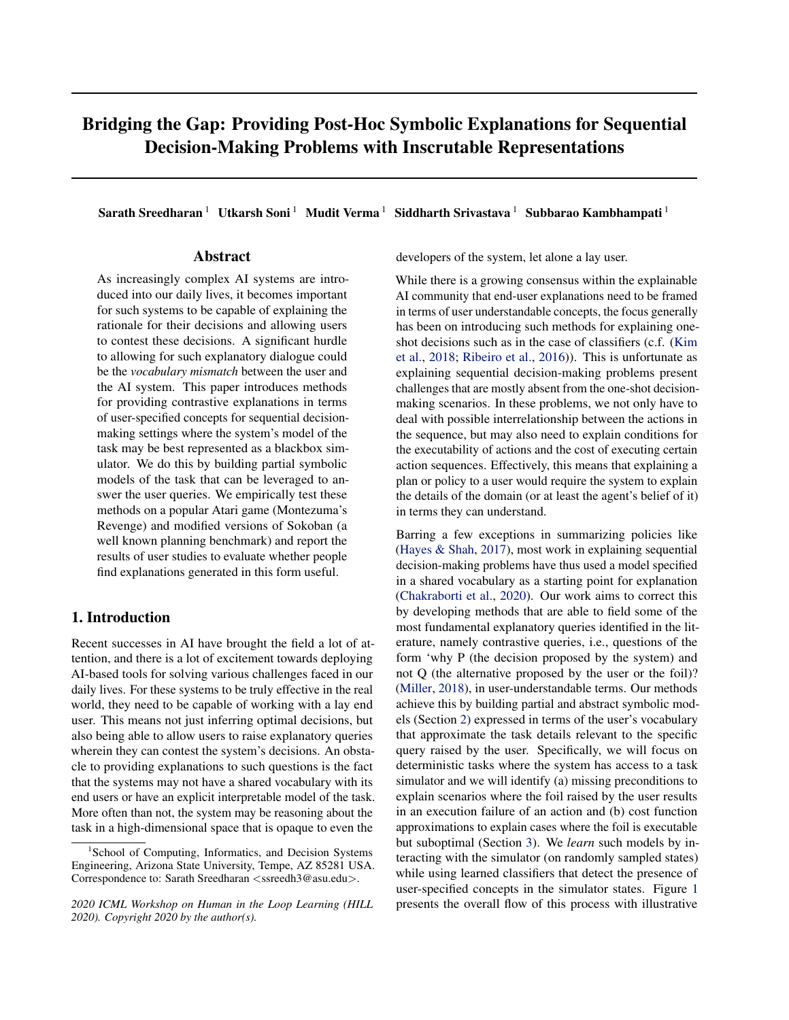the  $i^{th}$  concept). The user could specify the set of concepts by identifying positive and negative example states for each concept. These examples could then be used to learn the required classifiers by using algorithms best suited for the internal simulator state representation. This means that the explanatory system should have some method of exposing simulator states to the user. A common way to satisfy this requirement would be by having access to visual representations for the states. The simulator state itself doesn't need to be an image as long as we have a way to visualize it (for example in Atari games where the states can be represented by the RAM state of the game controller but we can still visualize it). The concept list can also be mined from qualitative descriptions of the domain and we can crowd source the collection of example states for each concept.

Explanation using concepts: To explain why a given foil is not preferred over the specified plan, we will present information about the symbolic model expressed in user's vocabulary,  $\mathcal{M}_{S}^{\mathcal{C}} = \langle C, A_{S}^{\mathcal{C}}, C(I), C(G), C_{S}^{\mathcal{C}} \rangle$ . Where  $C(G)$  =  $\bigcap_{s_g,2\text{G}}\bigcirc(s_g)$  and  $A^{\text{C}}_{\text{S}}$  contains a definition for each action  $a \in A$ . The model is a sound abstraction of the simulator  $\mathcal{M}_{sim} = \langle S, T, A, C \rangle$  for regions of interest  $\hat{S} \subseteq S$ , in so far as,  $\forall s \in \hat{S}$  and  $\forall a \in A$ , we have an equivalent action  $a^C \in A_S^C$ , such that  $a^C(C(s)) = C(T(s, a))$  (assuming  $C(\perp) = \perp$ ) and  $C_S^C(C(s), a) = C(s, a)$ . Note that establishing the preference of plan does not require informing the users about the entire model, but rather only the relevant parts. For conciseness, we will use  $a_i$  for both the simulator action and the corresponding abstract action in the symbolic model as long as the context allows it to be distinguished.

For establishing the invalidity of  $\pi_f$ , we just need to focus on explaining the failure of the first failing action  $a_i$ , i.e., the last action in the shortest prefix that would lead to an invalid state (which in our running example is the move-left action in the state presented in Figure [1](#page-1-0) for the first foil). We can do so by informing the user that the failing action has an unmet precondition, as per the symbolic model, in the state it was executed in. Formally

**Definition 2** For a failing action  $a_i$  for the foil  $\pi_f$  =  $\langle a_1, ..., a_i, ..., a_n \rangle$ ,  $c_i \in \mathbb{C}$  *is considered an explanation for failure if*  $c_i \in prec_{a_i} \setminus \overline{C(s_i)}$ , where  $s_i$  is the state where  $a_i$ *is meant to be executed (i.e s<sub>i</sub>* =  $T(I, \langle a_1, ..., a_{i-1} \rangle)$ ).

In our example for the invalid foil, a possible explanation would be to inform the user that move-left can only be executed in states for which the concept skull-not-on-left is true; and the concept is false in the given state. This formulation is enough to capture both conditions for foil inexecutability by appending an additional goal action at the end of each sequence. The goal action causes the state to transition to an end state and it fails for all states except the ones in G. Our approach to identifying the minimal [information needed to explain specific query follows from](#page-8-0) studies in social sciences that have shown that selectivity or minimality is an essential property of effective explanations [\(Miller,](#page-8-0) [2018\)](#page-8-0).

For explaining the suboptimality of the foil, we have to inform the user about  $C_{\mathcal{S}}^{\mathbb{C}}$ . To ensure minimality of explanations, rather than generating the entire cost function or even trying to figure out individual conditional components of the function, we will instead try to learn an abstraction of the cost function  $C_s^{abs}$ , defined as follows

**Definition 3** For the symbolic model  $M_S^C$  $S =$  $\langle C, A_S^C, C(I), C(G), C_S^C \rangle$ , an abstract cost function  $\mathcal{C}_\mathcal{S}^{abs}$  :  $2^{\mathbb{C}} \times A_\mathcal{S}^{\mathbb{C}} \rightarrow \mathbb{R}$  is specified as follows  $C_S^{abs}(f_{c_1},...,c_k,g,a) = min f C_S^C(s,a)$ js 2  $S_{\mathcal{M}_S^C}$  ^ fc<sub>1</sub>, .., c<sub>k</sub>g sg*].*

Intuitively,  $C_S^{abs}(fc_1, \ldots, c_kg, a) = k$  can be understood as stating that *executing the action* a*, in the presence of concepts*  $\{c_1, ..., c_k\}$  *costs at least k.* We can use  $C_S^{abs}$  in an explanation of the form

**Definition 4** *For a valid foil*  $\pi_f = \langle a_1, ..., a_k \rangle$ *, a plan*  $\pi$  *and a problem*  $\Pi_{sim} = \langle I, G, M_{sim} \rangle$ *, the sequence of concept* sets of the form  $C_{\pi_f} = \langle \hat{C}_1, ..., \hat{C}_k \rangle$  along with  $\mathcal{C}_s^{abs}$  is con*sidered a valid explanation for relative suboptimality of the foil (denoted as*  $\mathcal{C}_S^{abs}(\mathcal{C}_{\pi_f}, \pi_f) > \mathcal{C}(I, \pi)$ ), if  $\forall \hat{\mathcal{C}}_i \in \mathcal{C}_{\pi_f}$ ,  $\hat{C}_i$  is a subset of concepts presents in the corresponding *state (where state is* I *for*  $i = 1$  *and*  $T(I, \langle a_1, ..., a_{i-1} \rangle)$  *for*  $i > 1$ ) and  $\Sigma_{i=\hat{\tau}1..kg} C_S^{abs}(\hat{C}_i, a_i) > C(I, \pi)$ 

In the earlier example, the explanation would include the fact that executing the action attack in the presence of the concept skull-on-left, will cost at least 500 (as opposed to original plan cost of 20).

# 4. Identifying Explanations through Sample-Based Trials

For identifying the model parts for explanatory query, we will rely on the agent's ability to interact with the simulator to build estimates. Given the fact that we can separate the two cases at the simulator level, we will keep the discussion of identifying each explanation type separate and only focus on identifying the model parts once we know the failure type.

Identifying failing precondition: To identify the missing preconditions, we will rely on the simple intuition that while successful execution of an action  $a$  in the state  $s_j$ with a concept  $C_i$  doesn't necessarily establish that  $C_i$  is a precondition, we can guarantee that any concept false in that state can not be a precondition of that action. This is a common line of reasoning exploited by many of the model learning methods (c.f [\(Carbonell & Gil,](#page-7-0) [1990;](#page-7-0) [Stern](#page-8-0)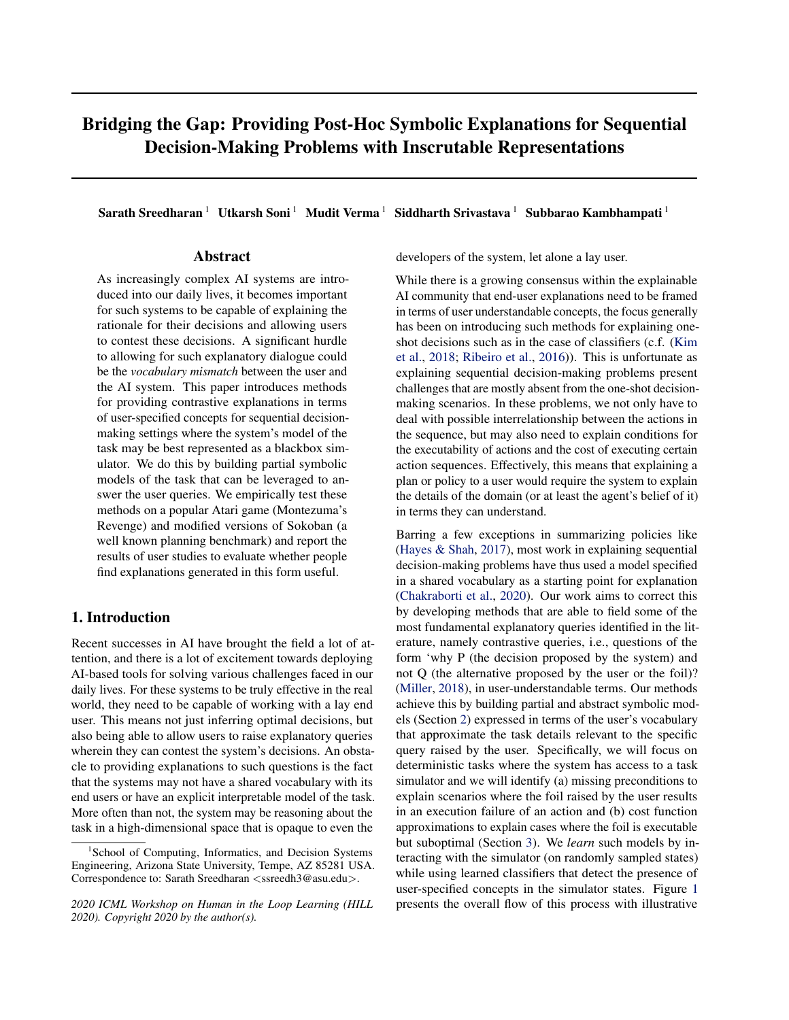<span id="page-4-0"></span>[& Juba,](#page-8-0) [2017\)](#page-8-0)). So we start with the set of concepts that are absent in the the state  $(s<sub>fail</sub>)$  where the failing action  $(a<sub>fail</sub>)$  was executed, i.e., poss\_prec\_set =  $\text{C} \setminus \text{C}(s<sub>fail</sub>)$ . We then randomly sample for states where  $a_{\text{fail}}$  is executable. Each new sampled state  $s_i$  where the action is executable can then be used to update the possible precondition set as poss\_prec\_set = poss\_prec\_set  $\cap C(s_i)$ . That is, if a state is identified where the action is executable but a concept is absent then it can't be part of the precondition. We will keep repeating this sampling step until the sampling budget is exhausted or if one of the following exit conditions is met. (a) In cases where we are guaranteed that the concept list is exhaustive, we can quit as soon as the set of possibilities reduce to one (since there has to be a missing precondition at the failure state). (b) The search results in an empty list. The list of concepts left at the end of exhausting the sampling budget represents the most likely candidates for preconditions. *An empty list here signifies the fact that whatever concept is required to differentiate the failure state from the executable one is not present in the initial concept list* (C). This can be taken as evidence to query the user for more task-related concepts. Any locality considerations for sampled states, like focusing on states close to the plan/foil, can be baked into the sampler. The full specification of the algorithm is provided in the supplementary file (<https://bit.ly/38TmDPA>).

Identifying cost function: Now we will employ a similar sampling based method to identify the right cost function abstraction. Unlike the precondition failure case, there is no single action we can choose but rather we need to choose a level of abstraction for each action in the foil (though it may be possible in many cases to explain the suboptimality of foil by only referrring to a subset of actions in the foil). Our approach here would be to find the most abstract representation of the cost function at each step such that of the total cost of the foil becomes greater than that of the specified plan. Thus for a foil  $\pi_f = \langle a_1, ..., a_k \rangle$  our objective become

$$
\text{min}_{\hat{C}_1,\dots,\hat{C}_k} \Sigma_{i=1..k} \hat{\text{KL}}_i \text{subject to } C_s^{abs}(C_{\pi_f},\pi_f) > C(I,\pi)
$$

For any given  $\hat{C}_i$ ,  $\mathcal{C}_s^{abs}(\hat{C}_i, a_i)$  can be approximated by sampling states randomly and finding the minimum cost of executing the action  $a_i$  in states containing the concepts  $\hat{C}_i$ . We can again rely on a sampling budget to decide how many samples to check and enforce required locality within sampler. Similar to the previous case, *we can identify the insufficiency of the concept set by the fact that we aren't be able to identify a valid explanation*. The algorithm can be found in the supplementary file ( $https://bit.ly/$ [38TmDPA](https://bit.ly/38TmDPA)).

Confidence over explanations: Though both the methods discussed above are guaranteed to identify the exact model in the limit, the accuracy of the methods is still limited by practical sampling budgets we can employ. So this means it is important that we are able to establish some level of confidence in the solutions identified. To assess confidence,



Figure 2. A simplified probabilistic graphical models for explanation inference, Subfigure (A) and (B) assumes classifiers to be completely correct, while (C) and (D) presents cases with noisy classifier.

we will follow the probabilistic relationship between the random variables as captured by Figure 2 (A) for precondition identification and Figure 2 (B) for cost calculation. Where the various random variables captures the following facts:  $O_a^s$  - indicates that action a can be executed in state  $s, c_i \in p_a$  - concept  $c_i$  is a precondition of  $a, O_{c_i}^s$  - the concept  $c_i$  is present in state  $s, \mathcal{C}_s^{abs}(\{c_i\}, a) \geq k$  - the abstract cost function is guaranteed to be higher than or equal to k and finally  $O_{C(s,a) \lt k}$  - stands for the fact that the action execution in the state resulted in cost higher than or equal to k. We will allow for inference over these models, by relying on the following simplifying assumptions - (1) the distribution of concepts over the state space is independent of each other, (2) the distribution of all non-precondition concepts in states where the action is executable is the same as their overall distribution across the problem states (which can be empirically estimated), (3) cost distribution of an action over states corresponding to a concept that does not affect the cost function is identical to the overall distribution of cost for the action (which can again be empirically estimated). The second assumption implies that you are as likely to see a non-precondition concept in a sampled state where the action is executable as the concept was likely to appear at any sampled state (this distribution is denoted as  $p_{c_i}$ ). While the third one implies that for a concept that has no bearing on the cost function for an action, the likelihood that executing the action in a state where the concept is present will result in a cost greater than  $k$  will be the same as that of the action execution resulting in cost greater than k for a randomly sampled state  $(p_{C(.,a)k}).$ 

For a single sample, the posterior probability of explanations for each case can be expressed as follows: For precondition estimation, updated posterior probability for a positive observation can be computed as  $P(c_i \supseteq p_a / O_{c_i}^{s^*} \wedge O_a^s) = (1 \quad P(c_i \otimes p_a / O_{c_i}^{s^*} \wedge O_a^s))$ , where

$$
P(c_i \otimes p_a/O_{c_i}^s \wedge O_a^s) = \frac{p_{c_i} \ P(c_i \otimes p_a)}{P(O_{c_i}^s/O_a^s)}
$$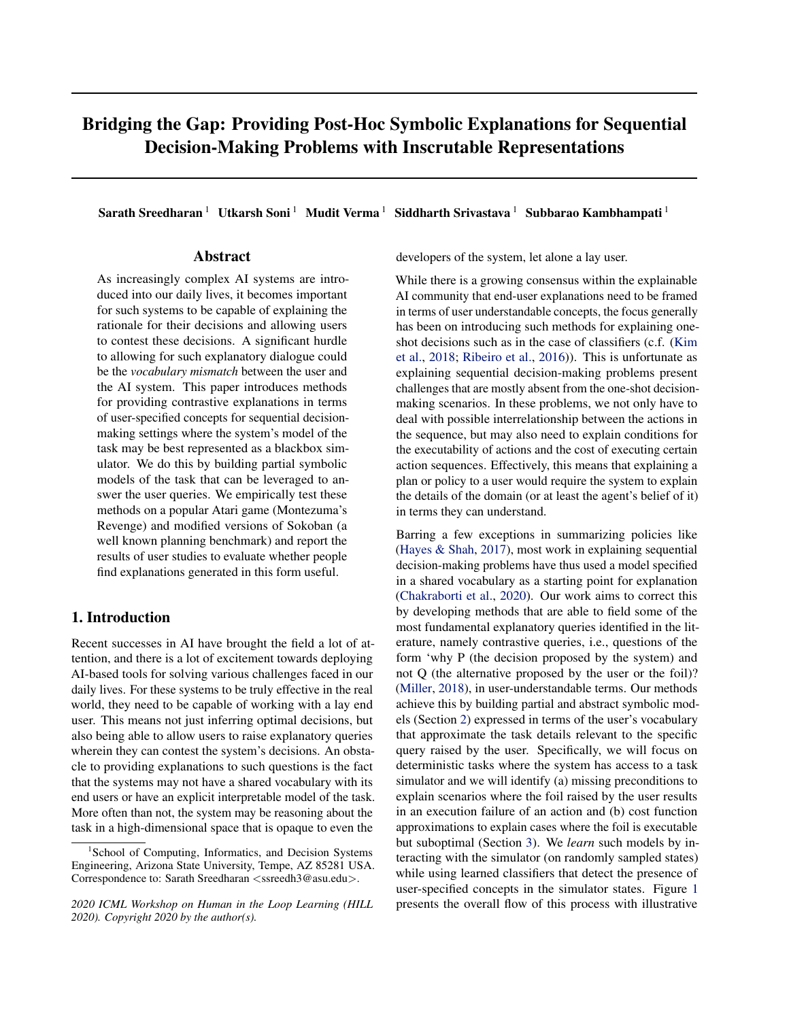<span id="page-5-0"></span>and for the case of cost function approximation

$$
P(C_s^{abs}(fc_i g, a) \t kjO_{c_i}^s \t O_{C(s, a) k}) =
$$
  
\n
$$
P(C_s^{abs}(fc_i g, a) \t k)
$$
  
\n
$$
P(C_s^{abs}(fc_i g, a) \t k) + p_{C(., a) k} P(\cdot C_s^{abs}(fc_i g, a) \t k))
$$

Full derivation of above formulas can be found in the supplementary file (<https://bit.ly/38TmDPA>). The distribution used in the cost explanation, can either be limited to distribution over states where action  $a_i$  is executable or allow for the cost of executing an action in a state where it is not executable to be infinite.

Using noisy concept classifiers: Given how unlikely it is to have access to a perfect classifier for any concept, a more practical assumption to adopt could be that we have access to a noisy classifier. However, we assume that we also have access to a probabilistic model for its prediction. That is, we have access to a function  $P_{\mathbb{C}} : \mathbb{C} \to [0,1]$  that gives the probability that the concept predicted by the classifier is actually associated with the state. Such probability functions could be learned from the test set used for learning the classifier. Allowing for the possibility of noisy observation generally has a more significant impact on the precondition calculation than the cost function approximation. Since we are relying on just generating a lower bound for the cost function, we can be on the safer side by under-approximating the cost observations received (though this could lead to larger than required explanation). In the case of precondition estimation, we can no longer use a single failure (execution of an action in a state where the concept is absent) as evidence for discarding the concept. Though we can still use it as an evidence to update the probability of the given concept being a precondition. We can remove a particular possible precondition from consideration once the probability of it not being a precondition crosses a specified threshold.

To see how we can incorporate these probabilistic observations into our confidence calculation, consider the updated relationships presented in Figure [2](#page-4-0) (C) and (D) for precondition and cost function approximation. Note that in previous sections, we made no distinction between the concept being part of the state and actually observing the concept. Now we will differentiate between the classifier saying that a concept is present  $(O_{c_i}^s)$  from the fact that the concept is part of the state  $(c_i \in \widetilde{C}(S))$ . Now we can use this updated model for calculating the confidence. We can update the posterior of a concept not being a precondition given a negative observation  $(O_{i,c_i}^s)$  using the formula

$$
P(c_i \otimes p_a/O_{\cdot}^s c_i \wedge O_a^s) = \frac{P(O_{\cdot}^s c_i/c_i \otimes p_a \wedge O_a^s) - P(c_i \otimes p_a/O_a^s)}{P(O_{\cdot} c_i/O_a^s)}
$$

Similarly we can modify the update for a positive observation to include the observation model and also do the same for the cost explanation. For calculation of cost confidence, we will now need to calculate  $P(O_{\mathcal{C}(s,a)}, k|c_i \, \mathcal{Q})$  $C(s)$ ,  $C_s^{abs}(fc_i g, a)$  k). This can either be empirically calculated from samples with true label or we can assume that



Figure 3. Montezuma Foils: Left Image shows foils for screen 1, (A) Move right instead of Jump Right (B) Go left over the edge instead of using ladder (C) Go left instead of jumping over the skull. Right Image shows foil for screen 4, (D) Move Down instead of waiting.



Figure 4. Sokoban Foils: Left Image shows foils for Sokobanswitch, note that the green cell will turn pink once the agent passes it. Right Image shows foil for screen Sokoban-cell.

this value is going to be approximately equal to the overall distribution of the cost for the action.

The derivations for all of the above expressions and formulas for the other cases can be found in the supplementary file.

# 5. Evaluation

For validating the soundness of the methods discussed before, we tested the approach on the open-AI gym's deterministic implementation of Montezuma's Revenge [\(Brockman](#page-7-0) [et al.,](#page-7-0) [2016\)](#page-7-0) for precondition identification and two modified versions of the gym implementation of Sokoban [\(Schrader,](#page-8-0) [2018\)](#page-8-0) for cost based foil evaluation. The first version of Sokoban included a switch the player could turn on to reduce the cost of pushing the box (we will refer to this version as Sokoban-switch) and the second version (Sokoban-cells) included particular cells from which it is costlier to push the box. We used RAM-based state representation for Montezuma and images of game state for the Sokoban variations. To add richer preconditions to the settings, we added a wrapper over the original simulators for all the games to render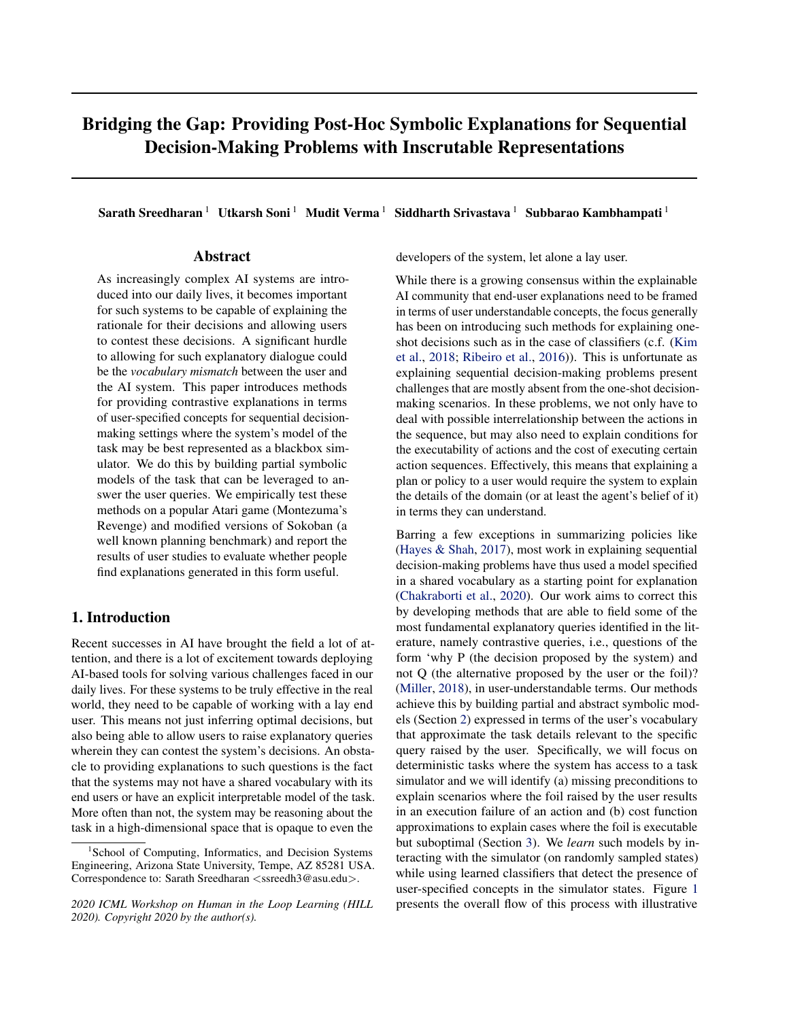any action that fails to change the current agent state as an action failure. For Montezuma, we selected four invalid foils for the game, three from screen 1 and one from screen 4 and for Sokoban, we selected one valid but suboptimal foil for each variation. The specifics of the games, foils, plans and state representation are provided in the supplementary file (<https://bit.ly/38TmDPA>). The plan and foils used can be found in Figure [3](#page-5-0) (for Montezuma) and Figure [4](#page-5-0) (for Sokoban variants).

Concept learning: For Montezuma, we specified ten concepts for each screen and for the Sokoban variations we used a survey to collect the set of concepts. The survey allowed participants to interact with the game through a web interface, and at the end, they were asked to specify game concepts that they thought were relevant for particular actions. For Sokoban-switch, we collected data from six participants and received 25 unique concepts and for Sokobancell we collected data from seven participants and received 38 unique concepts. In both domains, we wrote scripts to identify positive and negative examples for each concept from randomly sampled states of the game. For Sokoban variants, we rejected any concept that resulted in less than ten samples after 1000 episodes of sampling and consequently we focused on just 20 concepts for Sokoban-switch and 32 concepts for Sokoban-cell respectively. We used AdaBoost Classifier [\(Freund et al.,](#page-8-0) [1999\)](#page-8-0) on Montezuma, and Convolutional Neural Networks (CNNs) for Sokoban variants. The CNN architecture involved four convolutional layers followed by three fully connected layers that gave a binary classification output. Montezuma classifiers had an average accuracy of 99.72%, while that for Sokoban-switch was 99.46% and for Sokoban-cell was 99.34%.

Explanation identification: As mentioned previously, we ran the search for identifying preconditions for Montezuma's foils and cost function identification on Sokoban. From the collected list of concepts, we doubled the final concept list used by including negations of each concept. So for Montezuma we used 20 concepts per screen, and 40 and 64 concepts were used for Sokoban-switch and Sokoban-cell. The probabilistic models for each classifier were calculated from the corresponding test sets. For precondition identification, the search was run with a sampling budget of 500 and a cutoff probability of 0.01 for each concept. The search was able to identify the expected explanation for each foil and had a mean confidence of 0.5044 for foils in screen 1 and a confidence value of 0.8604 for the foil in screen 4. The ones in screen 1 had lower probabilities since they were based on more common concepts and thus their presence in the executable states was not a strong evidence for them being a precondition. For cost function identification, the search was run with a sampling budget of 750 and all the calculations, including both computing the concept distribution and updating the probability of explanation, were

limited to states where the action was executable. Again the search was able to find the expected explanation. We had an average confidence of 0.9996 for the Sokoban-switch and 0.998 for the Sokoban-cell.

User study: With the basic explanation generation method in place, we were interested in evaluating if users would find such an explanation helpful. Specifically, the hypothesis we tested were

### *Hypothesis 1: Missing precondition information is a useful explanation for action failures.*

#### *Hypothesis 2: Abstract cost functions are a useful explanation for foil suboptimality.*

To evaluate this, we performed a user study with all the foils used along with the generated explanation and a simple baseline explanation. For precondition case (H1), the baseline involved pointing out just the failing action and the state it was executed. For the cost case (H2), it involved pointing out the exact cost of executing each action in the foil. The users were asked to choose the one they believed was more useful (the choice ordering was randomized to ensure the results were counterbalanced) and were also asked to report on a Likert scale the completeness of the chosen explanation. For each foil, we took the explanation generated by the search and converted it into text by hand. The subjects were also given the option to provide suggestions on what they think would help improve the completeness of the explanation in a free text field. For H1, we collected 20 replies in total (five per foil) and 19 out of the 20 participants selected precondition based explanation as the choice. On the question of whether the explanation was complete, we had an average score of 3.35 out of 5 on the Likert scale (1 being not at all complete and 5 being complete). For H2, we again collected 20 replies in total (ten per foil) and found 14 out of 20 participants selected the concept-based explanation over the simple one. The concept explanations had on average a completeness score of 3.36 out of 5. The results seems to suggest that in both case people did prefer the concept-based explanation over the simple alternative. The completeness results suggest that people may like, at least in some cases, to receive more information about the model.

### 6. Related Work

There is an increasing number of works investigating the use of high-level concepts to provide meaningful post-hoc explanations to the end-users. The representative works in this direction include TCAV [\(Kim et al.,](#page-8-0) [2018\)](#page-8-0) and its various offshoots like [\(Luss et al.,](#page-8-0) [2019\)](#page-8-0) that have focused on one-shot decisions. Authors of [\(Hayes & Shah,](#page-8-0) [2017\)](#page-8-0) have looked at the use of high-level concepts for policy summaries. They use logical formulas to concisely characterize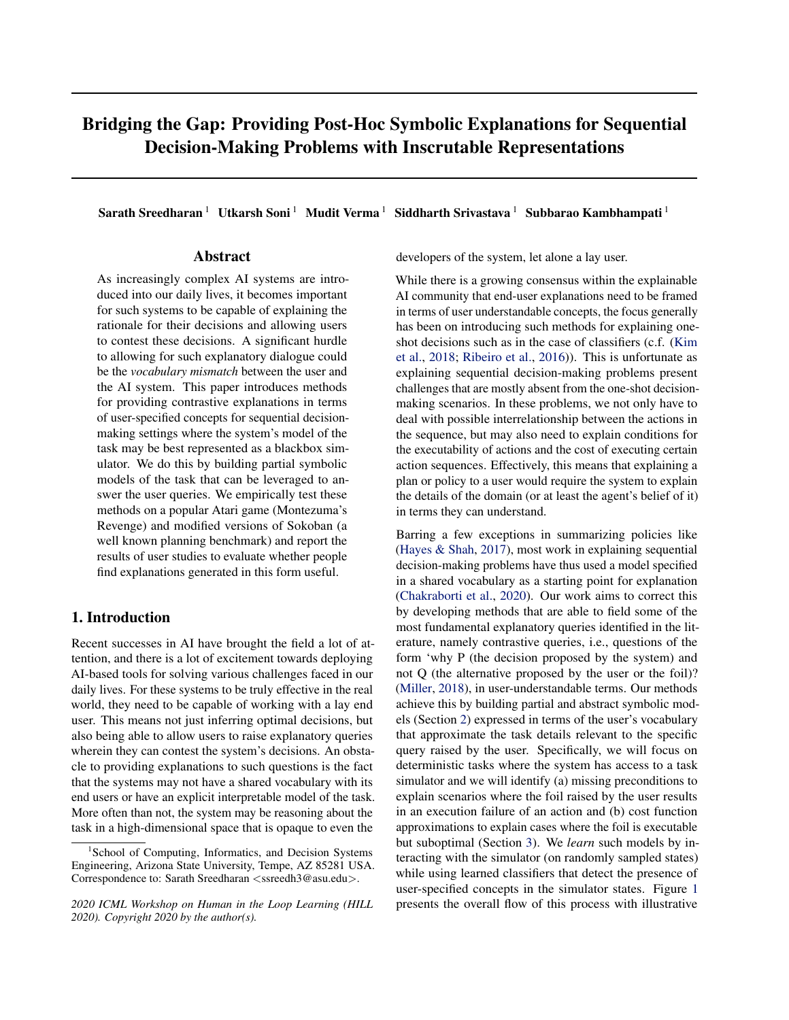<span id="page-7-0"></span>various policy choices, including states where a specific action may be selected (or not). Unlike our work, they are not trying to answer why the policy ends up choosing a specific action (or not). [\(Waa et al.,](#page-8-0) [2018\)](#page-8-0) looks at addressing suboptimality of foils while supporting interpretable features, but it requires the domain developer to specifically encode positive and negative outcomes to each action. Another related work is the approach studied in [\(Madumal et al.,](#page-8-0) [2020\)](#page-8-0). Here, they are also trying to characterize dynamics in terms of high-level concepts. Though in their example, they assume that the full structural relationship between the various variables is provided upfront. The explanations discussed in this paper can also be seen as a special case of Model Reconciliation explanation (c.f (Chakraborti et al., 2017)), where the human model is considered to be empty and our use of abstractions is also connected to the HELM explanatory framework introduced in [\(Sreedharan et al.,](#page-8-0) [2018\)](#page-8-0). Usefulness of preconditions as explanation has also been considered in other explanatory works like [\(Winikoff,](#page-8-0) [2017;](#page-8-0) Broekens et al., 2010). Our effort to associate action cost to concepts could also be contrasted to efforts in [\(Juozapaitis et al.,](#page-8-0) [2019\)](#page-8-0) and (Anderson et al., 2019) which explain in terms of interpretable reward components. Unfortunately, their method relies on having reward function being represented using interpretable components.

#### 7. Conclusion

We view the approaches introduced in the paper as the first step towards designing more general symbolic explanatory methods for sequential decision-making problems that operate on inscrutable representations. The current methods facilitate generation of explanations in user-specified terms for sequential decisions by allowing users to query the system about alternative plans. We implemented these method in multiple domains and evaluated the effectiveness of the explanation using user studies. While contrastive explanations are answers to questions of the form "Why P and not Q?", we have mostly focused on refuting the foil (the "not Q?" part). This is because, in the presence of a simulator, it is easier to show why the plan is valid by simulating the plan and presenting the state trace. We can further augment such traces with the various concepts that are valid at each step of the trace. Also, note that the methods discussed in this paper can still be used if the user's questions are specified in term of temporal abstraction over the agent's action space. As long as the system can simulate the foils raised by the user, we can keep the rest of the methods discussed in the paper the same. In future, we would like to investigate more complex tasks, such as those with stochastic dynamics or partial observability. Also, we could look at extending the methods to support partial foils (where the user only specifies some part of the plan) and develop methods that allow for efficient acquisitions of new concepts from the user.

As mentioned, the readers can find the supplementary file containing the algorithm pseudocodes, derivation of all the formulas (along with formulas for noisy classifier cases) and additional experiment details at the link [https://bit.](https://bit.ly/38TmDPA) [ly/38TmDPA](https://bit.ly/38TmDPA).

# Acknowledgments

Kambhampati's research is supported in part by ONR grants N00014-16-1-2892, N00014-18-1-2442, N00014- 18-1-2840, N00014-9-1-2119, AFOSR grant FA9550-18- 1-0067, DARPA SAIL-ON grant W911NF-19-2-0006, NSF grants 1936997 (C-ACCEL), 1844325, NASA grant NNX17AD06G, and a JP Morgan AI Faculty Research grant.

## References

- Anderson, A., Dodge, J., Sadarangani, A., Juozapaitis, Z., Newman, E., Irvine, J., Chattopadhyay, S., Fern, A., and Burnett, M. Explaining Reinforcement Learning to Mere Mortals: An Empirical Study. In *IJCAI*, 2019.
- Benton, J., Lipovetzky, N., Onaindia, E., Smith, D. E., and Srivastava, S. (eds.). *Proceedings of the Twenty-Ninth International Conference on Automated Planning and Scheduling, ICAPS 2018, Berkeley, CA, USA, July 11-15, 2019*, 2019. AAAI Press. URL [https://aaai.org/](https://aaai.org/ojs/index.php/ICAPS/issue/view/239) [ojs/index.php/ICAPS/issue/view/239](https://aaai.org/ojs/index.php/ICAPS/issue/view/239).
- Botea, A., Müller, M., and Schaeffer, J. Using abstraction for planning in sokoban. In *International Conference on Computers and Games*, pp. 360–375. Springer, 2002.
- Brockman, G., Cheung, V., Pettersson, L., Schneider, J., Schulman, J., Tang, J., and Zaremba, W. Openai gym. *CoRR*, abs/1606.01540, 2016. URL [http://arxiv.](http://arxiv.org/abs/1606.01540) [org/abs/1606.01540](http://arxiv.org/abs/1606.01540).
- Broekens, J., Harbers, M., Hindriks, K., Van Den Bosch, K., Jonker, C., and Meyer, J.-J. Do you get it? userevaluated explainable bdi agents. In *German Conference on Multiagent System Technologies*, pp. 28–39. Springer, 2010.
- Carbonell, J. G. and Gil, Y. Learning by experimentation: The operator refinement method. In *Machine learning*, pp. 191–213. Elsevier, 1990.
- Chakraborti, T., Sreedharan, S., Zhang, Y., and Kambhampati, S. Plan explanations as model reconciliation: Moving beyond explanation as soliloquy. In *IJCAI*, pp. 156– 163, 2017.
- Chakraborti, T., Sreedharan, S., and Kambhampati, S. The emerging landscape of explainable ai planning and decision making. *arXiv preprint arXiv:2002.11697*, 2020.